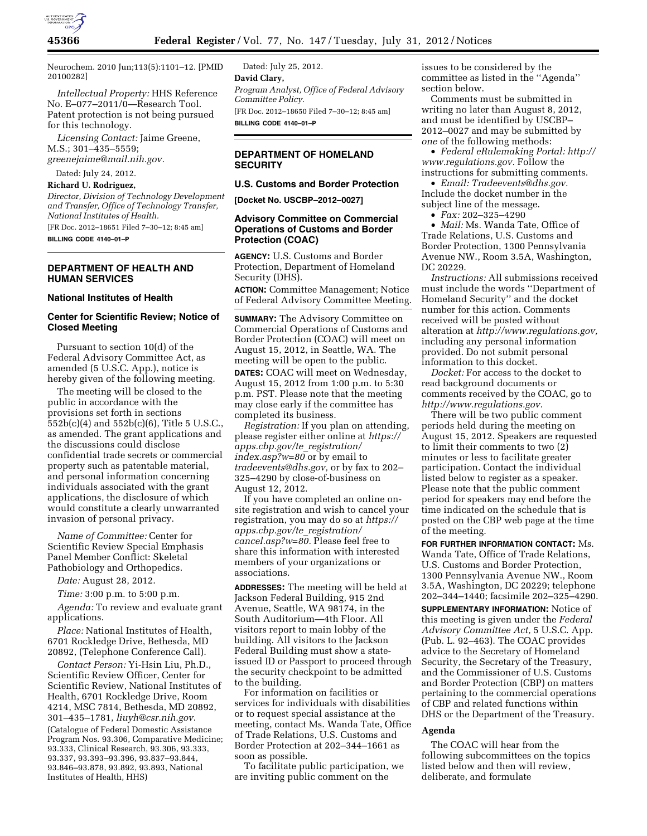

Neurochem. 2010 Jun;113(5):1101–12. [PMID 20100282]

*Intellectual Property:* HHS Reference No. E–077–2011/0—Research Tool. Patent protection is not being pursued for this technology.

*Licensing Contact:* Jaime Greene, M.S.; 301–435–5559; *[greenejaime@mail.nih.gov.](mailto:greenejaime@mail.nih.gov)* 

# Dated: July 24, 2012.

**Richard U. Rodriguez,** 

*Director, Division of Technology Development and Transfer, Office of Technology Transfer, National Institutes of Health.*  [FR Doc. 2012–18651 Filed 7–30–12; 8:45 am] **BILLING CODE 4140–01–P** 

## **DEPARTMENT OF HEALTH AND HUMAN SERVICES**

### **National Institutes of Health**

## **Center for Scientific Review; Notice of Closed Meeting**

Pursuant to section 10(d) of the Federal Advisory Committee Act, as amended (5 U.S.C. App.), notice is hereby given of the following meeting.

The meeting will be closed to the public in accordance with the provisions set forth in sections 552b(c)(4) and 552b(c)(6), Title 5 U.S.C., as amended. The grant applications and the discussions could disclose confidential trade secrets or commercial property such as patentable material, and personal information concerning individuals associated with the grant applications, the disclosure of which would constitute a clearly unwarranted invasion of personal privacy.

*Name of Committee:* Center for Scientific Review Special Emphasis Panel Member Conflict: Skeletal Pathobiology and Orthopedics.

*Date:* August 28, 2012.

*Time:* 3:00 p.m. to 5:00 p.m.

*Agenda:* To review and evaluate grant applications.

*Place:* National Institutes of Health, 6701 Rockledge Drive, Bethesda, MD 20892, (Telephone Conference Call).

*Contact Person:* Yi-Hsin Liu, Ph.D., Scientific Review Officer, Center for Scientific Review, National Institutes of Health, 6701 Rockledge Drive, Room 4214, MSC 7814, Bethesda, MD 20892, 301–435–1781, *[liuyh@csr.nih.gov](mailto:liuyh@csr.nih.gov)*. (Catalogue of Federal Domestic Assistance Program Nos. 93.306, Comparative Medicine; 93.333, Clinical Research, 93.306, 93.333, 93.337, 93.393–93.396, 93.837–93.844, 93.846–93.878, 93.892, 93.893, National Institutes of Health, HHS)

Dated: July 25, 2012. **David Clary,**  *Program Analyst, Office of Federal Advisory Committee Policy.*  [FR Doc. 2012–18650 Filed 7–30–12; 8:45 am] **BILLING CODE 4140–01–P** 

## **DEPARTMENT OF HOMELAND SECURITY**

## **U.S. Customs and Border Protection**

**[Docket No. USCBP–2012–0027]** 

## **Advisory Committee on Commercial Operations of Customs and Border Protection (COAC)**

**AGENCY:** U.S. Customs and Border Protection, Department of Homeland Security (DHS).

**ACTION:** Committee Management; Notice of Federal Advisory Committee Meeting.

**SUMMARY:** The Advisory Committee on Commercial Operations of Customs and Border Protection (COAC) will meet on August 15, 2012, in Seattle, WA. The meeting will be open to the public. **DATES:** COAC will meet on Wednesday, August 15, 2012 from 1:00 p.m. to 5:30 p.m. PST. Please note that the meeting may close early if the committee has completed its business.

*Registration:* If you plan on attending, please register either online at *[https://](https://apps.cbp.gov/te_registration/index.asp?w=80) [apps.cbp.gov/te](https://apps.cbp.gov/te_registration/index.asp?w=80)*\_*registration/ [index.asp?w=80](https://apps.cbp.gov/te_registration/index.asp?w=80)* or by email to *[tradeevents@dhs.gov,](mailto:tradeevents@dhs.gov)* or by fax to 202– 325–4290 by close-of-business on August 12, 2012.

If you have completed an online onsite registration and wish to cancel your registration, you may do so at *[https://](https://apps.cbp.gov/te_registration/cancel.asp?w=80)  [apps.cbp.gov/te](https://apps.cbp.gov/te_registration/cancel.asp?w=80)*\_*registration/ [cancel.asp?w=80.](https://apps.cbp.gov/te_registration/cancel.asp?w=80)* Please feel free to share this information with interested members of your organizations or associations.

**ADDRESSES:** The meeting will be held at Jackson Federal Building, 915 2nd Avenue, Seattle, WA 98174, in the South Auditorium—4th Floor. All visitors report to main lobby of the building. All visitors to the Jackson Federal Building must show a stateissued ID or Passport to proceed through the security checkpoint to be admitted to the building.

For information on facilities or services for individuals with disabilities or to request special assistance at the meeting, contact Ms. Wanda Tate, Office of Trade Relations, U.S. Customs and Border Protection at 202–344–1661 as soon as possible.

To facilitate public participation, we are inviting public comment on the

issues to be considered by the committee as listed in the ''Agenda'' section below.

Comments must be submitted in writing no later than August 8, 2012, and must be identified by USCBP– 2012–0027 and may be submitted by *one* of the following methods:

• *Federal eRulemaking Portal: [http://](http://www.regulations.gov)  [www.regulations.gov.](http://www.regulations.gov)* Follow the instructions for submitting comments.

• *Email: [Tradeevents@dhs.gov.](mailto:Tradeevents@dhs.gov)*  Include the docket number in the subject line of the message.

• *Fax:* 202–325–4290

• *Mail:* Ms. Wanda Tate, Office of Trade Relations, U.S. Customs and Border Protection, 1300 Pennsylvania Avenue NW., Room 3.5A, Washington, DC 20229.

*Instructions:* All submissions received must include the words ''Department of Homeland Security'' and the docket number for this action. Comments received will be posted without alteration at *[http://www.regulations.gov,](http://www.regulations.gov)*  including any personal information provided. Do not submit personal information to this docket.

*Docket:* For access to the docket to read background documents or comments received by the COAC, go to *[http://www.regulations.gov.](http://www.regulations.gov)* 

There will be two public comment periods held during the meeting on August 15, 2012. Speakers are requested to limit their comments to two (2) minutes or less to facilitate greater participation. Contact the individual listed below to register as a speaker. Please note that the public comment period for speakers may end before the time indicated on the schedule that is posted on the CBP web page at the time of the meeting.

**FOR FURTHER INFORMATION CONTACT:** Ms. Wanda Tate, Office of Trade Relations, U.S. Customs and Border Protection, 1300 Pennsylvania Avenue NW., Room 3.5A, Washington, DC 20229; telephone 202–344–1440; facsimile 202–325–4290.

**SUPPLEMENTARY INFORMATION:** Notice of this meeting is given under the *Federal Advisory Committee Act,* 5 U.S.C. App. (Pub. L. 92–463). The COAC provides advice to the Secretary of Homeland Security, the Secretary of the Treasury, and the Commissioner of U.S. Customs and Border Protection (CBP) on matters pertaining to the commercial operations of CBP and related functions within DHS or the Department of the Treasury.

## **Agenda**

The COAC will hear from the following subcommittees on the topics listed below and then will review, deliberate, and formulate